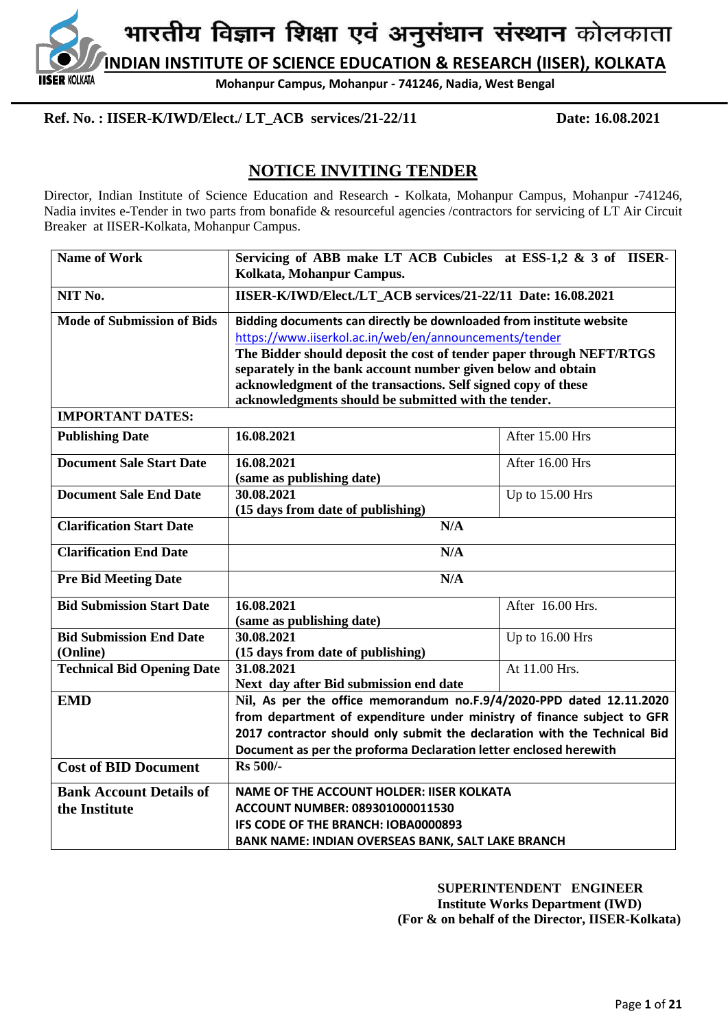**IDIAN INSTITUTE OF SCIENCE EDUCATION & RESEARCH (IISER), KOLKATA** 

**Mohanpur Campus, Mohanpur - 741246, Nadia, West Bengal**

## **Ref. No. : IISER-K/IWD/Elect./ LT\_ACB services/21-22/11 Date: 16.08.2021**

**SER KOI KATA** 

## **NOTICE INVITING TENDER**

Director, Indian Institute of Science Education and Research - Kolkata, Mohanpur Campus, Mohanpur -741246, Nadia invites e-Tender in two parts from bonafide & resourceful agencies /contractors for servicing of LT Air Circuit Breaker at IISER-Kolkata, Mohanpur Campus.

| <b>Name of Work</b>               | Servicing of ABB make LT ACB Cubicles at ESS-1,2 & 3 of IISER-            |                  |  |  |
|-----------------------------------|---------------------------------------------------------------------------|------------------|--|--|
|                                   | Kolkata, Mohanpur Campus.                                                 |                  |  |  |
| NIT No.                           | IISER-K/IWD/Elect./LT_ACB services/21-22/11 Date: 16.08.2021              |                  |  |  |
| <b>Mode of Submission of Bids</b> | Bidding documents can directly be downloaded from institute website       |                  |  |  |
|                                   | https://www.iiserkol.ac.in/web/en/announcements/tender                    |                  |  |  |
|                                   | The Bidder should deposit the cost of tender paper through NEFT/RTGS      |                  |  |  |
|                                   | separately in the bank account number given below and obtain              |                  |  |  |
|                                   | acknowledgment of the transactions. Self signed copy of these             |                  |  |  |
|                                   | acknowledgments should be submitted with the tender.                      |                  |  |  |
| <b>IMPORTANT DATES:</b>           |                                                                           |                  |  |  |
| <b>Publishing Date</b>            | 16.08.2021                                                                | After 15.00 Hrs  |  |  |
| <b>Document Sale Start Date</b>   | 16.08.2021                                                                | After 16.00 Hrs  |  |  |
|                                   | (same as publishing date)                                                 |                  |  |  |
| <b>Document Sale End Date</b>     | 30.08.2021<br>Up to 15.00 Hrs                                             |                  |  |  |
|                                   | (15 days from date of publishing)                                         |                  |  |  |
| <b>Clarification Start Date</b>   | N/A                                                                       |                  |  |  |
| <b>Clarification End Date</b>     | N/A                                                                       |                  |  |  |
| <b>Pre Bid Meeting Date</b>       | N/A                                                                       |                  |  |  |
| <b>Bid Submission Start Date</b>  | 16.08.2021                                                                | After 16.00 Hrs. |  |  |
|                                   | (same as publishing date)                                                 |                  |  |  |
| <b>Bid Submission End Date</b>    | 30.08.2021                                                                | Up to 16.00 Hrs  |  |  |
| (Online)                          | (15 days from date of publishing)                                         |                  |  |  |
| <b>Technical Bid Opening Date</b> | 31.08.2021                                                                | At 11.00 Hrs.    |  |  |
|                                   | Next day after Bid submission end date                                    |                  |  |  |
| <b>EMD</b>                        | Nil, As per the office memorandum no.F.9/4/2020-PPD dated 12.11.2020      |                  |  |  |
|                                   | from department of expenditure under ministry of finance subject to GFR   |                  |  |  |
|                                   | 2017 contractor should only submit the declaration with the Technical Bid |                  |  |  |
| <b>Cost of BID Document</b>       | Document as per the proforma Declaration letter enclosed herewith         |                  |  |  |
|                                   | <b>Rs</b> 500/-                                                           |                  |  |  |
| <b>Bank Account Details of</b>    | <b>NAME OF THE ACCOUNT HOLDER: IISER KOLKATA</b>                          |                  |  |  |
| the Institute                     | ACCOUNT NUMBER: 089301000011530                                           |                  |  |  |
|                                   | IFS CODE OF THE BRANCH: IOBA0000893                                       |                  |  |  |
|                                   | BANK NAME: INDIAN OVERSEAS BANK, SALT LAKE BRANCH                         |                  |  |  |

 **SUPERINTENDENT ENGINEER Institute Works Department (IWD) (For & on behalf of the Director, IISER-Kolkata)**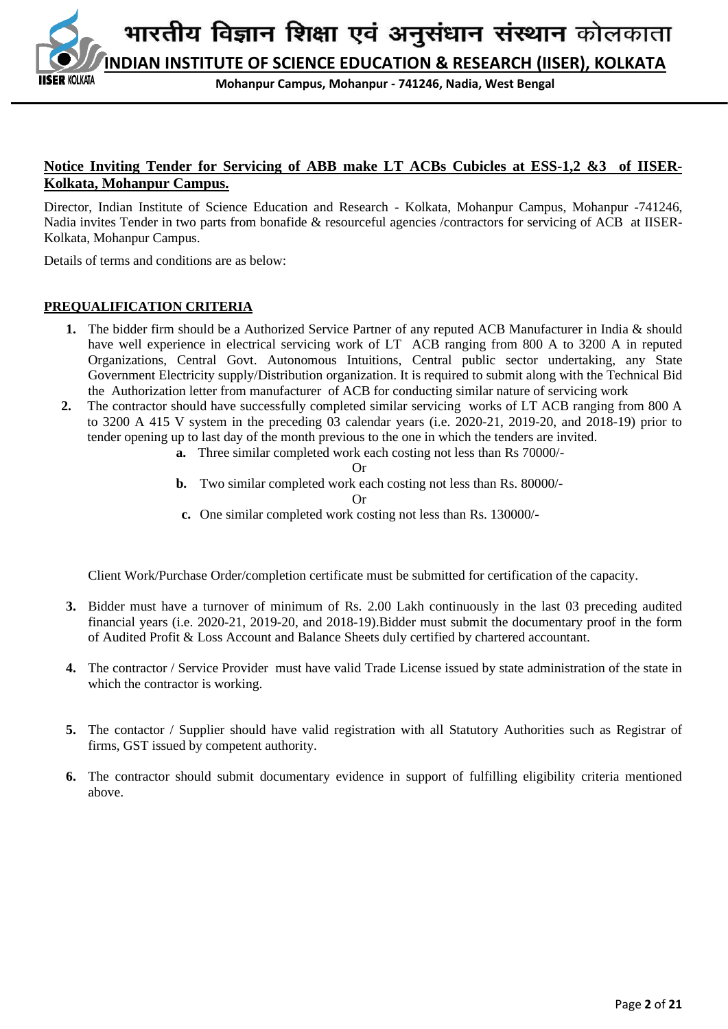

**Mohanpur Campus, Mohanpur - 741246, Nadia, West Bengal**

## **Notice Inviting Tender for Servicing of ABB make LT ACBs Cubicles at ESS-1,2 &3 of IISER-Kolkata, Mohanpur Campus.**

Director, Indian Institute of Science Education and Research - Kolkata, Mohanpur Campus, Mohanpur -741246, Nadia invites Tender in two parts from bonafide & resourceful agencies /contractors for servicing of ACB at IISER-Kolkata, Mohanpur Campus.

Details of terms and conditions are as below:

#### **PREQUALIFICATION CRITERIA**

- **1.** The bidder firm should be a Authorized Service Partner of any reputed ACB Manufacturer in India & should have well experience in electrical servicing work of LT ACB ranging from 800 A to 3200 A in reputed Organizations, Central Govt. Autonomous Intuitions, Central public sector undertaking, any State Government Electricity supply/Distribution organization. It is required to submit along with the Technical Bid the Authorization letter from manufacturer of ACB for conducting similar nature of servicing work
- **2.** The contractor should have successfully completed similar servicing works of LT ACB ranging from 800 A to 3200 A 415 V system in the preceding 03 calendar years (i.e. 2020-21, 2019-20, and 2018-19) prior to tender opening up to last day of the month previous to the one in which the tenders are invited.
	- **a.** Three similar completed work each costing not less than Rs 70000/-

Or

**b.** Two similar completed work each costing not less than Rs. 80000/-

Or

**c.** One similar completed work costing not less than Rs. 130000/-

Client Work/Purchase Order/completion certificate must be submitted for certification of the capacity.

- **3.** Bidder must have a turnover of minimum of Rs. 2.00 Lakh continuously in the last 03 preceding audited financial years (i.e. 2020-21, 2019-20, and 2018-19).Bidder must submit the documentary proof in the form of Audited Profit & Loss Account and Balance Sheets duly certified by chartered accountant.
- **4.** The contractor / Service Provider must have valid Trade License issued by state administration of the state in which the contractor is working.
- **5.** The contactor / Supplier should have valid registration with all Statutory Authorities such as Registrar of firms, GST issued by competent authority.
- **6.** The contractor should submit documentary evidence in support of fulfilling eligibility criteria mentioned above.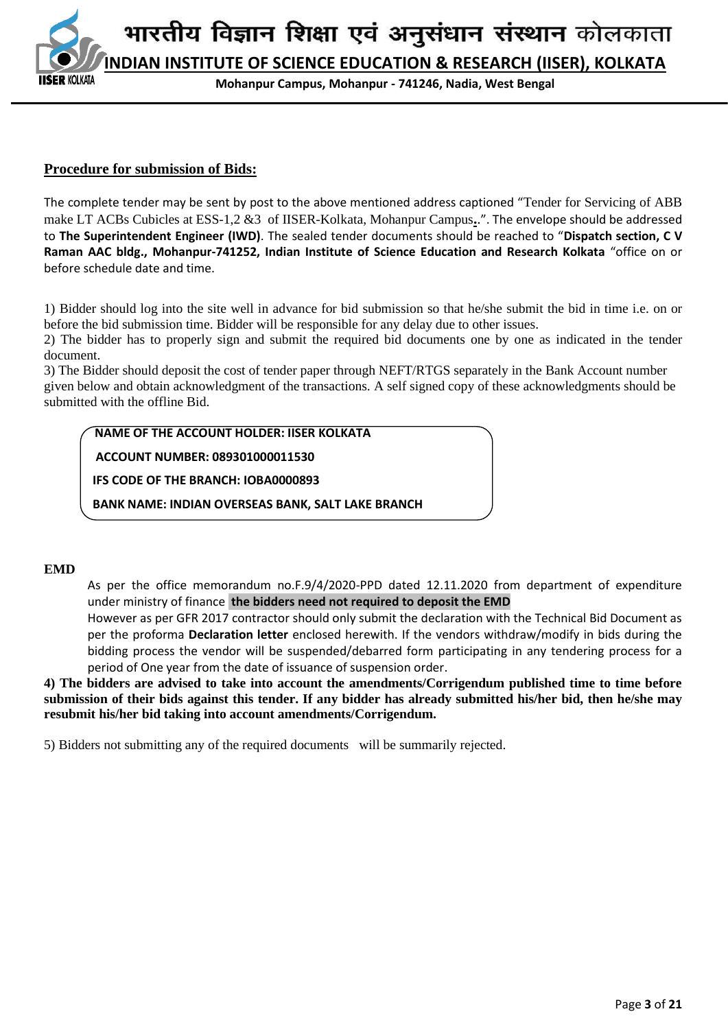**INDIAN INSTITUTE OF SCIENCE EDUCATION & RESEARCH (IISER), KOLKATA**

**Mohanpur Campus, Mohanpur - 741246, Nadia, West Bengal**

#### **Procedure for submission of Bids:**

The complete tender may be sent by post to the above mentioned address captioned "Tender for Servicing of ABB make LT ACBs Cubicles at ESS-1,2 &3 of IISER-Kolkata, Mohanpur Campus**.**.". The envelope should be addressed to **The Superintendent Engineer (IWD)**. The sealed tender documents should be reached to "**Dispatch section, C V Raman AAC bldg., Mohanpur-741252, Indian Institute of Science Education and Research Kolkata** "office on or before schedule date and time.

1) Bidder should log into the site well in advance for bid submission so that he/she submit the bid in time i.e. on or before the bid submission time. Bidder will be responsible for any delay due to other issues.

2) The bidder has to properly sign and submit the required bid documents one by one as indicated in the tender document.

3) The Bidder should deposit the cost of tender paper through NEFT/RTGS separately in the Bank Account number given below and obtain acknowledgment of the transactions. A self signed copy of these acknowledgments should be submitted with the offline Bid.

#### **NAME OF THE ACCOUNT HOLDER: IISER KOLKATA**

 **ACCOUNT NUMBER: 089301000011530**

 **IFS CODE OF THE BRANCH: IOBA0000893**

 **BANK NAME: INDIAN OVERSEAS BANK, SALT LAKE BRANCH**

#### **EMD**

As per the office memorandum no.F.9/4/2020-PPD dated 12.11.2020 from department of expenditure under ministry of finance **the bidders need not required to deposit the EMD** 

However as per GFR 2017 contractor should only submit the declaration with the Technical Bid Document as per the proforma **Declaration letter** enclosed herewith. If the vendors withdraw/modify in bids during the bidding process the vendor will be suspended/debarred form participating in any tendering process for a period of One year from the date of issuance of suspension order.

**4) The bidders are advised to take into account the amendments/Corrigendum published time to time before submission of their bids against this tender. If any bidder has already submitted his/her bid, then he/she may resubmit his/her bid taking into account amendments/Corrigendum.**

5) Bidders not submitting any of the required documents will be summarily rejected.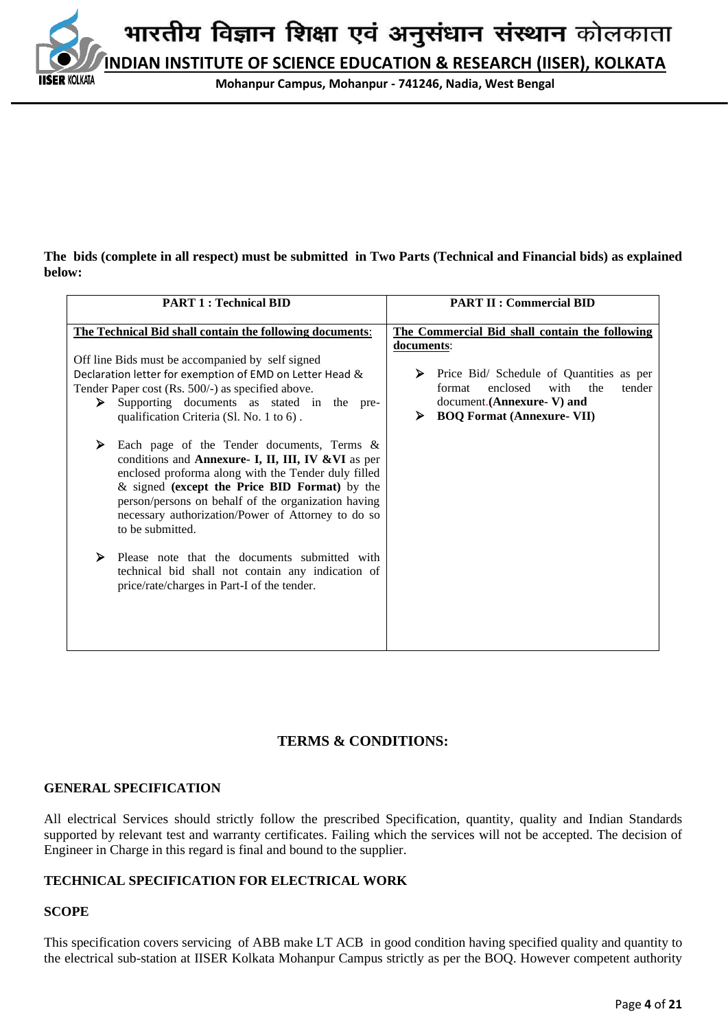**IDIAN INSTITUTE OF SCIENCE EDUCATION & RESEARCH (IISER), KOLKATA** 

**Mohanpur Campus, Mohanpur - 741246, Nadia, West Bengal**

#### **The bids (complete in all respect) must be submitted in Two Parts (Technical and Financial bids) as explained below:**

| <b>PART 1: Technical BID</b>                                                                                                                                                                                                                                                                                                                                                                                                                                                                                                                                                                                                                                              | <b>PART II : Commercial BID</b>                                                                                                                                                   |
|---------------------------------------------------------------------------------------------------------------------------------------------------------------------------------------------------------------------------------------------------------------------------------------------------------------------------------------------------------------------------------------------------------------------------------------------------------------------------------------------------------------------------------------------------------------------------------------------------------------------------------------------------------------------------|-----------------------------------------------------------------------------------------------------------------------------------------------------------------------------------|
| The Technical Bid shall contain the following documents:                                                                                                                                                                                                                                                                                                                                                                                                                                                                                                                                                                                                                  | The Commercial Bid shall contain the following                                                                                                                                    |
| Off line Bids must be accompanied by self signed<br>Declaration letter for exemption of EMD on Letter Head &<br>Tender Paper cost (Rs. 500/-) as specified above.<br>Supporting documents as stated in the pre-<br>➤<br>qualification Criteria (Sl. No. 1 to 6).<br>Each page of the Tender documents, Terms &<br>⋗<br>conditions and Annexure- I, II, III, IV & VI as per<br>enclosed proforma along with the Tender duly filled<br>& signed (except the Price BID Format) by the<br>person/persons on behalf of the organization having<br>necessary authorization/Power of Attorney to do so<br>to be submitted.<br>⋗<br>Please note that the documents submitted with | documents:<br>Price Bid/ Schedule of Quantities as per<br>➤<br>enclosed<br>with<br>format<br>the<br>tender<br>document.(Annexure-V) and<br><b>BOQ Format (Annexure- VII)</b><br>⋗ |
| technical bid shall not contain any indication of<br>price/rate/charges in Part-I of the tender.                                                                                                                                                                                                                                                                                                                                                                                                                                                                                                                                                                          |                                                                                                                                                                                   |

## **TERMS & CONDITIONS:**

## **GENERAL SPECIFICATION**

All electrical Services should strictly follow the prescribed Specification, quantity, quality and Indian Standards supported by relevant test and warranty certificates. Failing which the services will not be accepted. The decision of Engineer in Charge in this regard is final and bound to the supplier.

## **TECHNICAL SPECIFICATION FOR ELECTRICAL WORK**

## **SCOPE**

KOI KATA

This specification covers servicingof ABB make LT ACB in good condition having specified quality and quantity to the electrical sub-station at IISER Kolkata Mohanpur Campus strictly as per the BOQ. However competent authority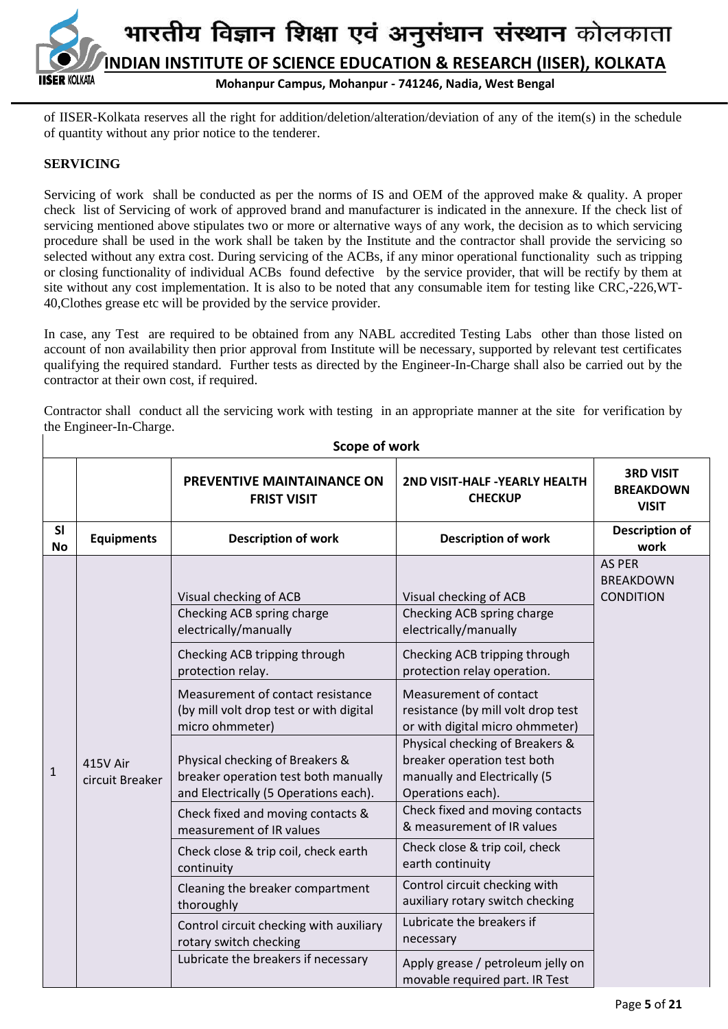

of IISER-Kolkata reserves all the right for addition/deletion/alteration/deviation of any of the item(s) in the schedule of quantity without any prior notice to the tenderer.

#### **SERVICING**

Servicing of work shall be conducted as per the norms of IS and OEM of the approved make & quality. A proper check list of Servicing of work of approved brand and manufacturer is indicated in the annexure. If the check list of servicing mentioned above stipulates two or more or alternative ways of any work, the decision as to which servicing procedure shall be used in the work shall be taken by the Institute and the contractor shall provide the servicing so selected without any extra cost. During servicing of the ACBs, if any minor operational functionality such as tripping or closing functionality of individual ACBs found defective by the service provider, that will be rectify by them at site without any cost implementation. It is also to be noted that any consumable item for testing like CRC,-226,WT-40,Clothes grease etc will be provided by the service provider.

In case, any Test are required to be obtained from any NABL accredited Testing Labs other than those listed on account of non availability then prior approval from Institute will be necessary, supported by relevant test certificates qualifying the required standard. Further tests as directed by the Engineer-In-Charge shall also be carried out by the contractor at their own cost, if required.

Contractor shall conduct all the servicing work with testing in an appropriate manner at the site for verification by the Engineer-In-Charge.

|                 |                             | PREVENTIVE MAINTAINANCE ON<br><b>FRIST VISIT</b>                                                                                                                                                                                                                                                                                                                                                                                                                                                                                                                                                                                                | 2ND VISIT-HALF - YEARLY HEALTH<br><b>CHECKUP</b>                                                                                                                                                                                                                                                                                                                                                                                                                                                                                                                                                                                                   | <b>3RD VISIT</b><br><b>BREAKDOWN</b><br><b>VISIT</b>  |  |
|-----------------|-----------------------------|-------------------------------------------------------------------------------------------------------------------------------------------------------------------------------------------------------------------------------------------------------------------------------------------------------------------------------------------------------------------------------------------------------------------------------------------------------------------------------------------------------------------------------------------------------------------------------------------------------------------------------------------------|----------------------------------------------------------------------------------------------------------------------------------------------------------------------------------------------------------------------------------------------------------------------------------------------------------------------------------------------------------------------------------------------------------------------------------------------------------------------------------------------------------------------------------------------------------------------------------------------------------------------------------------------------|-------------------------------------------------------|--|
| SI<br><b>No</b> | <b>Equipments</b>           | <b>Description of work</b>                                                                                                                                                                                                                                                                                                                                                                                                                                                                                                                                                                                                                      | <b>Description of work</b>                                                                                                                                                                                                                                                                                                                                                                                                                                                                                                                                                                                                                         | <b>Description of</b><br>work                         |  |
| $\mathbf{1}$    | 415V Air<br>circuit Breaker | Visual checking of ACB<br>Checking ACB spring charge<br>electrically/manually<br>Checking ACB tripping through<br>protection relay.<br>Measurement of contact resistance<br>(by mill volt drop test or with digital<br>micro ohmmeter)<br>Physical checking of Breakers &<br>breaker operation test both manually<br>and Electrically (5 Operations each).<br>Check fixed and moving contacts &<br>measurement of IR values<br>Check close & trip coil, check earth<br>continuity<br>Cleaning the breaker compartment<br>thoroughly<br>Control circuit checking with auxiliary<br>rotary switch checking<br>Lubricate the breakers if necessary | Visual checking of ACB<br>Checking ACB spring charge<br>electrically/manually<br>Checking ACB tripping through<br>protection relay operation.<br>Measurement of contact<br>resistance (by mill volt drop test<br>or with digital micro ohmmeter)<br>Physical checking of Breakers &<br>breaker operation test both<br>manually and Electrically (5<br>Operations each).<br>Check fixed and moving contacts<br>& measurement of IR values<br>Check close & trip coil, check<br>earth continuity<br>Control circuit checking with<br>auxiliary rotary switch checking<br>Lubricate the breakers if<br>necessary<br>Apply grease / petroleum jelly on | <b>AS PER</b><br><b>BREAKDOWN</b><br><b>CONDITION</b> |  |
|                 |                             |                                                                                                                                                                                                                                                                                                                                                                                                                                                                                                                                                                                                                                                 | movable required part. IR Test                                                                                                                                                                                                                                                                                                                                                                                                                                                                                                                                                                                                                     |                                                       |  |

**Scope of work**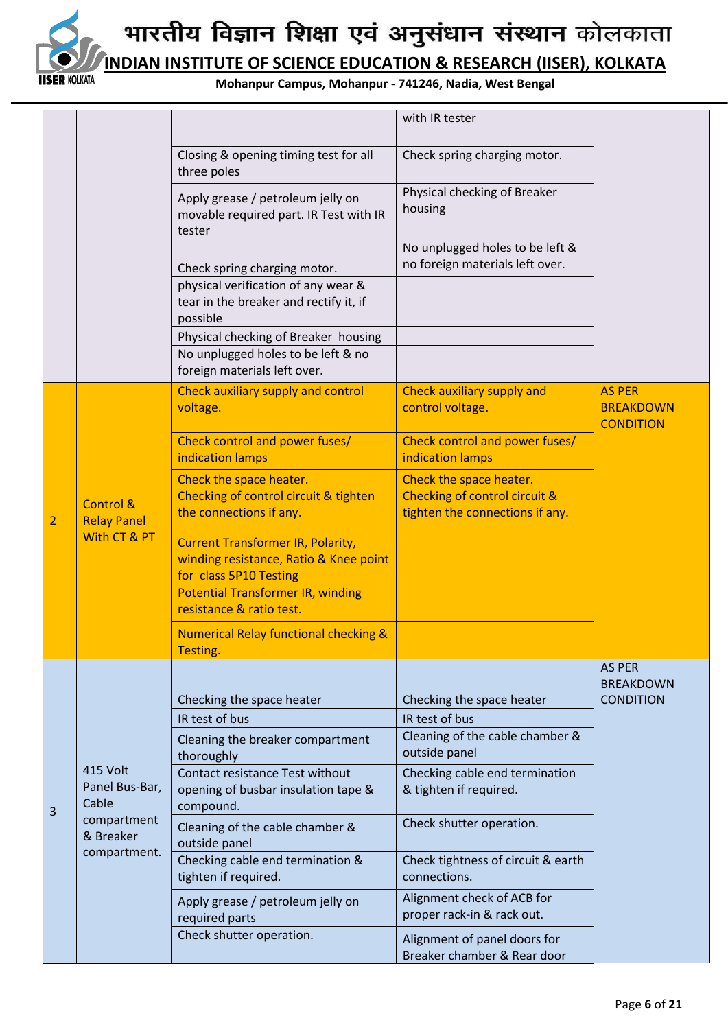

**INDIAN INSTITUTE OF SCIENCE EDUCATION & RESEARCH (IISER), KOLKATA**

**Mohanpur Campus, Mohanpur - 741246, Nadia, West Bengal**

|  |   |                                                                                 |                                                                                                              | with IR tester                                                     |                                                       |
|--|---|---------------------------------------------------------------------------------|--------------------------------------------------------------------------------------------------------------|--------------------------------------------------------------------|-------------------------------------------------------|
|  |   |                                                                                 | Closing & opening timing test for all<br>three poles                                                         | Check spring charging motor.                                       |                                                       |
|  |   |                                                                                 | Apply grease / petroleum jelly on<br>movable required part. IR Test with IR<br>tester                        | Physical checking of Breaker<br>housing                            |                                                       |
|  |   |                                                                                 | Check spring charging motor.                                                                                 | No unplugged holes to be left &<br>no foreign materials left over. |                                                       |
|  |   |                                                                                 | physical verification of any wear &<br>tear in the breaker and rectify it, if<br>possible                    |                                                                    |                                                       |
|  |   |                                                                                 | Physical checking of Breaker housing<br>No unplugged holes to be left & no<br>foreign materials left over.   |                                                                    |                                                       |
|  |   |                                                                                 | Check auxiliary supply and control<br>voltage.                                                               | Check auxiliary supply and<br>control voltage.                     | <b>AS PER</b><br><b>BREAKDOWN</b><br><b>CONDITION</b> |
|  |   |                                                                                 | Check control and power fuses/<br>indication lamps                                                           | <b>Check control and power fuses/</b><br>indication lamps          |                                                       |
|  |   |                                                                                 | Check the space heater.                                                                                      | Check the space heater.                                            |                                                       |
|  | 2 | <b>Control &amp;</b><br><b>Relay Panel</b><br>With CT & PT                      | Checking of control circuit & tighten<br>the connections if any.                                             | Checking of control circuit &<br>tighten the connections if any.   |                                                       |
|  |   |                                                                                 | <b>Current Transformer IR, Polarity,</b><br>winding resistance, Ratio & Knee point<br>for class 5P10 Testing |                                                                    |                                                       |
|  |   |                                                                                 | <b>Potential Transformer IR, winding</b><br>resistance & ratio test.                                         |                                                                    |                                                       |
|  |   |                                                                                 | <b>Numerical Relay functional checking &amp;</b><br>Testing.                                                 |                                                                    |                                                       |
|  |   |                                                                                 |                                                                                                              |                                                                    | <b>AS PER</b>                                         |
|  |   |                                                                                 | Checking the space heater                                                                                    | Checking the space heater                                          | <b>BREAKDOWN</b><br><b>CONDITION</b>                  |
|  |   |                                                                                 | IR test of bus                                                                                               | IR test of bus                                                     |                                                       |
|  |   | 415 Volt<br>Panel Bus-Bar,<br>Cable<br>compartment<br>& Breaker<br>compartment. | Cleaning the breaker compartment<br>thoroughly                                                               | Cleaning of the cable chamber &<br>outside panel                   |                                                       |
|  | 3 |                                                                                 | <b>Contact resistance Test without</b><br>opening of busbar insulation tape &<br>compound.                   | Checking cable end termination<br>& tighten if required.           |                                                       |
|  |   |                                                                                 | Cleaning of the cable chamber &<br>outside panel                                                             | Check shutter operation.                                           |                                                       |
|  |   |                                                                                 | Checking cable end termination &<br>tighten if required.                                                     | Check tightness of circuit & earth<br>connections.                 |                                                       |
|  |   |                                                                                 | Apply grease / petroleum jelly on<br>required parts                                                          | Alignment check of ACB for<br>proper rack-in & rack out.           |                                                       |
|  |   |                                                                                 | Check shutter operation.                                                                                     | Alignment of panel doors for<br>Breaker chamber & Rear door        |                                                       |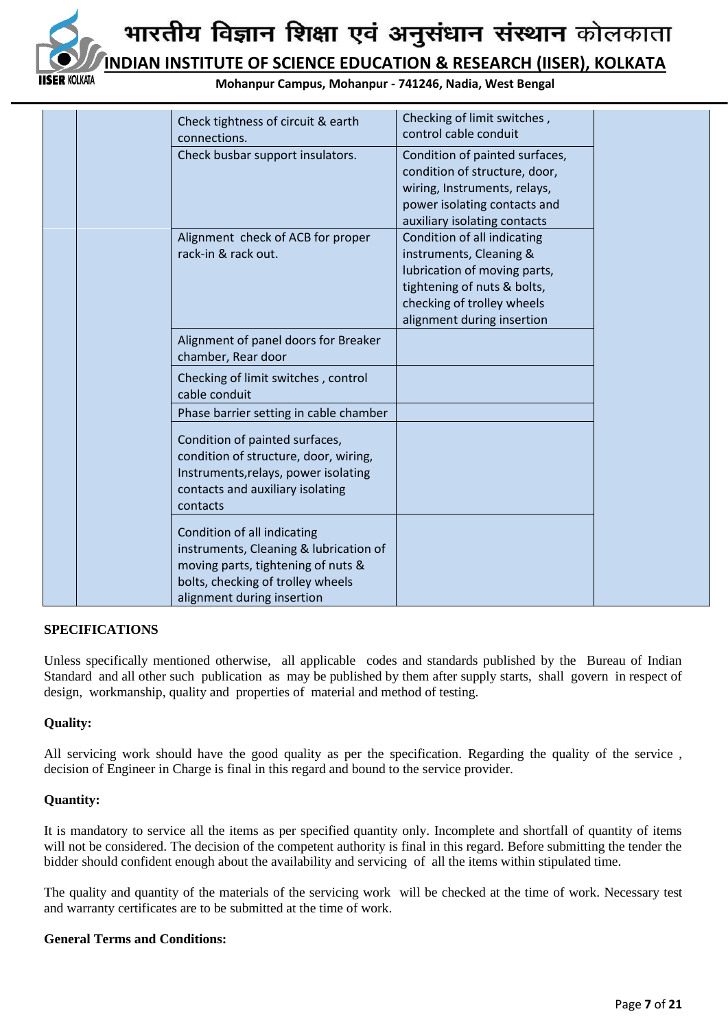

**DIAN INSTITUTE OF SCIENCE EDUCATION & RESEARCH (IISER), KOLKATA** 

**Mohanpur Campus, Mohanpur - 741246, Nadia, West Bengal**

|  | Check tightness of circuit & earth<br>connections.                                                                                                                             | Checking of limit switches,<br>control cable conduit                                                                                                                              |  |
|--|--------------------------------------------------------------------------------------------------------------------------------------------------------------------------------|-----------------------------------------------------------------------------------------------------------------------------------------------------------------------------------|--|
|  | Check busbar support insulators.                                                                                                                                               | Condition of painted surfaces,<br>condition of structure, door,<br>wiring, Instruments, relays,<br>power isolating contacts and<br>auxiliary isolating contacts                   |  |
|  | Alignment check of ACB for proper<br>rack-in & rack out.                                                                                                                       | Condition of all indicating<br>instruments, Cleaning &<br>lubrication of moving parts,<br>tightening of nuts & bolts,<br>checking of trolley wheels<br>alignment during insertion |  |
|  | Alignment of panel doors for Breaker<br>chamber, Rear door                                                                                                                     |                                                                                                                                                                                   |  |
|  | Checking of limit switches, control<br>cable conduit                                                                                                                           |                                                                                                                                                                                   |  |
|  | Phase barrier setting in cable chamber                                                                                                                                         |                                                                                                                                                                                   |  |
|  | Condition of painted surfaces,<br>condition of structure, door, wiring,<br>Instruments, relays, power isolating<br>contacts and auxiliary isolating<br>contacts                |                                                                                                                                                                                   |  |
|  | Condition of all indicating<br>instruments, Cleaning & lubrication of<br>moving parts, tightening of nuts &<br>bolts, checking of trolley wheels<br>alignment during insertion |                                                                                                                                                                                   |  |

#### **SPECIFICATIONS**

Unless specifically mentioned otherwise, all applicable codes and standards published by the Bureau of Indian Standard and all other such publication as may be published by them after supply starts, shall govern in respect of design, workmanship, quality and properties of material and method of testing.

#### **Quality:**

All servicing work should have the good quality as per the specification. Regarding the quality of the service , decision of Engineer in Charge is final in this regard and bound to the service provider.

#### **Quantity:**

It is mandatory to service all the items as per specified quantity only. Incomplete and shortfall of quantity of items will not be considered. The decision of the competent authority is final in this regard. Before submitting the tender the bidder should confident enough about the availability and servicing of all the items within stipulated time.

The quality and quantity of the materials of the servicing work will be checked at the time of work. Necessary test and warranty certificates are to be submitted at the time of work.

#### **General Terms and Conditions:**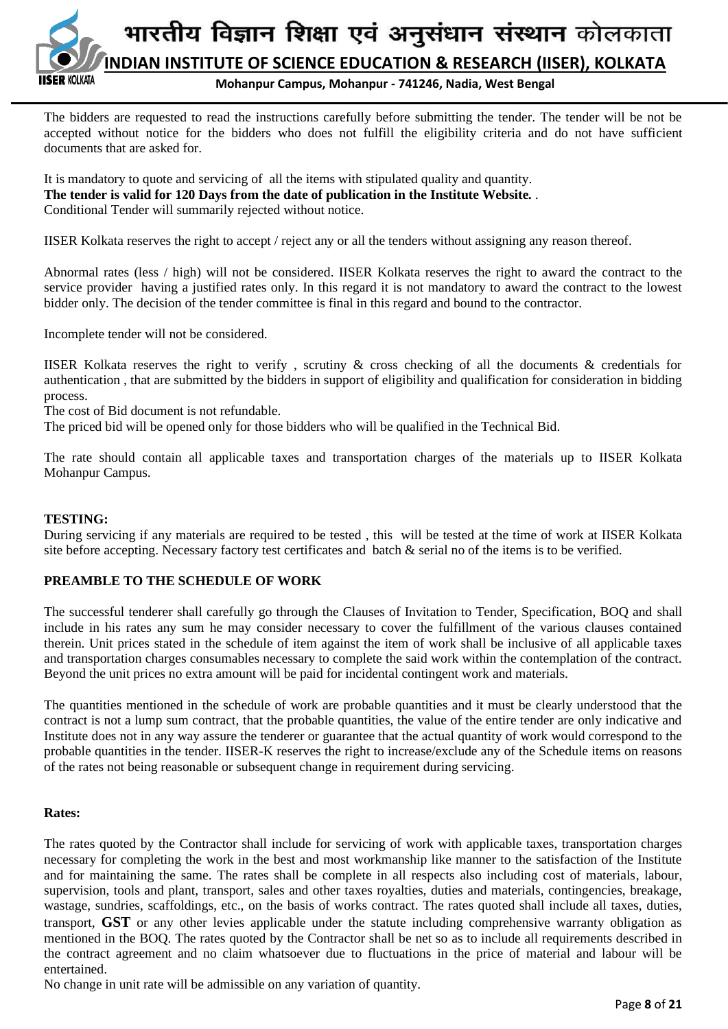

The bidders are requested to read the instructions carefully before submitting the tender. The tender will be not be accepted without notice for the bidders who does not fulfill the eligibility criteria and do not have sufficient documents that are asked for.

It is mandatory to quote and servicing of all the items with stipulated quality and quantity. **The tender is valid for 120 Days from the date of publication in the Institute Website***. .*  Conditional Tender will summarily rejected without notice.

IISER Kolkata reserves the right to accept / reject any or all the tenders without assigning any reason thereof.

Abnormal rates (less / high) will not be considered. IISER Kolkata reserves the right to award the contract to the service provider having a justified rates only. In this regard it is not mandatory to award the contract to the lowest bidder only. The decision of the tender committee is final in this regard and bound to the contractor.

Incomplete tender will not be considered.

IISER Kolkata reserves the right to verify , scrutiny & cross checking of all the documents & credentials for authentication , that are submitted by the bidders in support of eligibility and qualification for consideration in bidding process.

The cost of Bid document is not refundable.

The priced bid will be opened only for those bidders who will be qualified in the Technical Bid.

The rate should contain all applicable taxes and transportation charges of the materials up to IISER Kolkata Mohanpur Campus.

#### **TESTING:**

During servicing if any materials are required to be tested , this will be tested at the time of work at IISER Kolkata site before accepting. Necessary factory test certificates and batch & serial no of the items is to be verified.

#### **PREAMBLE TO THE SCHEDULE OF WORK**

The successful tenderer shall carefully go through the Clauses of Invitation to Tender, Specification, BOQ and shall include in his rates any sum he may consider necessary to cover the fulfillment of the various clauses contained therein. Unit prices stated in the schedule of item against the item of work shall be inclusive of all applicable taxes and transportation charges consumables necessary to complete the said work within the contemplation of the contract. Beyond the unit prices no extra amount will be paid for incidental contingent work and materials.

The quantities mentioned in the schedule of work are probable quantities and it must be clearly understood that the contract is not a lump sum contract, that the probable quantities, the value of the entire tender are only indicative and Institute does not in any way assure the tenderer or guarantee that the actual quantity of work would correspond to the probable quantities in the tender. IISER-K reserves the right to increase/exclude any of the Schedule items on reasons of the rates not being reasonable or subsequent change in requirement during servicing.

#### **Rates:**

The rates quoted by the Contractor shall include for servicing of work with applicable taxes, transportation charges necessary for completing the work in the best and most workmanship like manner to the satisfaction of the Institute and for maintaining the same. The rates shall be complete in all respects also including cost of materials, labour, supervision, tools and plant, transport, sales and other taxes royalties, duties and materials, contingencies, breakage, wastage, sundries, scaffoldings, etc., on the basis of works contract. The rates quoted shall include all taxes, duties, transport, **GST** or any other levies applicable under the statute including comprehensive warranty obligation as mentioned in the BOQ. The rates quoted by the Contractor shall be net so as to include all requirements described in the contract agreement and no claim whatsoever due to fluctuations in the price of material and labour will be entertained.

No change in unit rate will be admissible on any variation of quantity.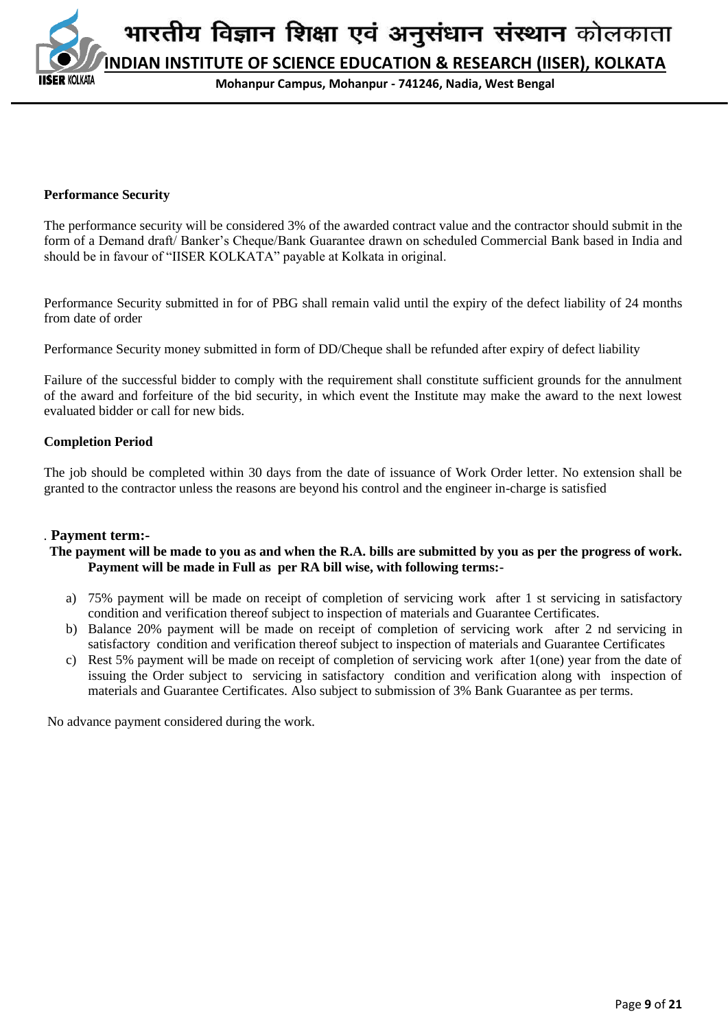**Mohanpur Campus, Mohanpur - 741246, Nadia, West Bengal**

#### **Performance Security**

**COI KATA** 

The performance security will be considered 3% of the awarded contract value and the contractor should submit in the form of a Demand draft/ Banker's Cheque/Bank Guarantee drawn on scheduled Commercial Bank based in India and should be in favour of "IISER KOLKATA" payable at Kolkata in original.

Performance Security submitted in for of PBG shall remain valid until the expiry of the defect liability of 24 months from date of order

Performance Security money submitted in form of DD/Cheque shall be refunded after expiry of defect liability

Failure of the successful bidder to comply with the requirement shall constitute sufficient grounds for the annulment of the award and forfeiture of the bid security, in which event the Institute may make the award to the next lowest evaluated bidder or call for new bids*.*

#### **Completion Period**

The job should be completed within 30 days from the date of issuance of Work Order letter. No extension shall be granted to the contractor unless the reasons are beyond his control and the engineer in-charge is satisfied

#### *.* **Payment term:-**

#### **The payment will be made to you as and when the R.A. bills are submitted by you as per the progress of work. Payment will be made in Full as per RA bill wise, with following terms:-**

- a) 75% payment will be made on receipt of completion of servicing work after 1 st servicing in satisfactory condition and verification thereof subject to inspection of materials and Guarantee Certificates.
- b) Balance 20% payment will be made on receipt of completion of servicing work after 2 nd servicing in satisfactory condition and verification thereof subject to inspection of materials and Guarantee Certificates
- c) Rest 5% payment will be made on receipt of completion of servicing work after 1(one) year from the date of issuing the Order subject to servicing in satisfactory condition and verification along with inspection of materials and Guarantee Certificates. Also subject to submission of 3% Bank Guarantee as per terms.

No advance payment considered during the work*.*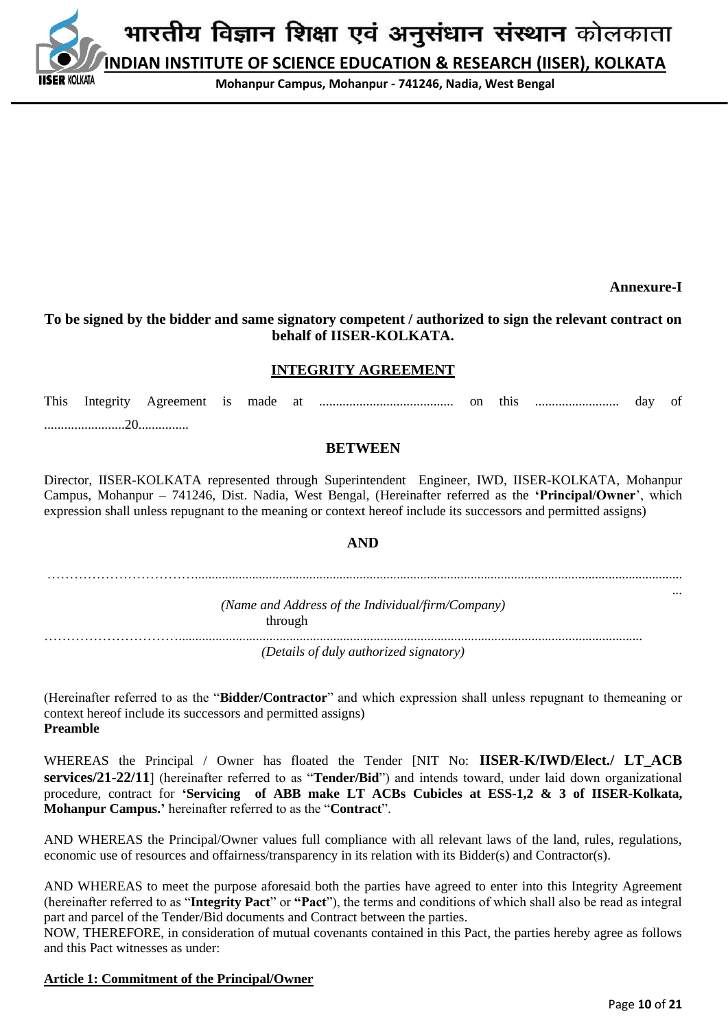**Mohanpur Campus, Mohanpur - 741246, Nadia, West Bengal**

**Annexure-I**

## **To be signed by the bidder and same signatory competent / authorized to sign the relevant contract on behalf of IISER-KOLKATA.**

## **INTEGRITY AGREEMENT**

This Integrity Agreement is made at ........................................ on this ......................... day of ........................20...............

#### **BETWEEN**

Director, IISER-KOLKATA represented through Superintendent Engineer, IWD, IISER-KOLKATA, Mohanpur Campus, Mohanpur – 741246, Dist. Nadia, West Bengal, (Hereinafter referred as the **'Principal/Owner**', which expression shall unless repugnant to the meaning or context hereof include its successors and permitted assigns)

#### **AND**

……………………………................................................................................................................................................. ... *(Name and Address of the Individual/firm/Company)* through

…………………………..........................................................................................................................................

*(Details of duly authorized signatory)*

(Hereinafter referred to as the "**Bidder/Contractor**" and which expression shall unless repugnant to themeaning or context hereof include its successors and permitted assigns) **Preamble**

WHEREAS the Principal / Owner has floated the Tender [NIT No: **IISER-K/IWD/Elect./ LT ACB services/21-22/11**] (hereinafter referred to as "**Tender/Bid**") and intends toward, under laid down organizational procedure, contract for **'Servicing of ABB make LT ACBs Cubicles at ESS-1,2 & 3 of IISER-Kolkata, Mohanpur Campus.'** hereinafter referred to as the "**Contract**".

AND WHEREAS the Principal/Owner values full compliance with all relevant laws of the land, rules, regulations, economic use of resources and offairness/transparency in its relation with its Bidder(s) and Contractor(s).

AND WHEREAS to meet the purpose aforesaid both the parties have agreed to enter into this Integrity Agreement (hereinafter referred to as "**Integrity Pact**" or **"Pact**"), the terms and conditions of which shall also be read as integral part and parcel of the Tender/Bid documents and Contract between the parties.

NOW, THEREFORE, in consideration of mutual covenants contained in this Pact, the parties hereby agree as follows and this Pact witnesses as under:

#### **Article 1: Commitment of the Principal/Owner**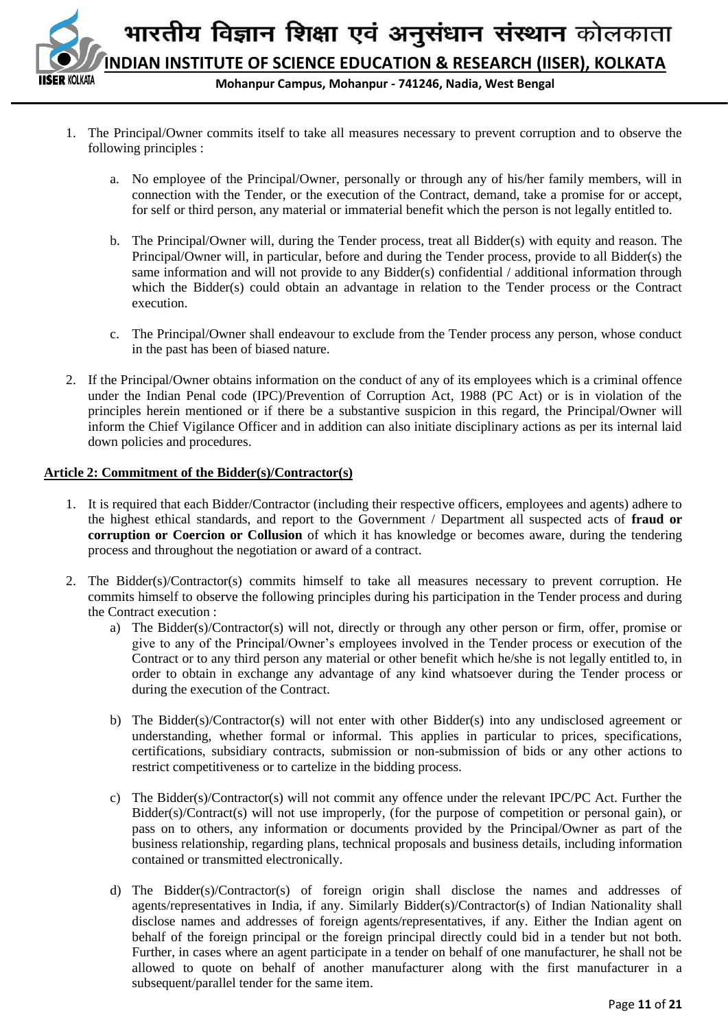

**Mohanpur Campus, Mohanpur - 741246, Nadia, West Bengal**

- 1. The Principal/Owner commits itself to take all measures necessary to prevent corruption and to observe the following principles :
	- a. No employee of the Principal/Owner, personally or through any of his/her family members, will in connection with the Tender, or the execution of the Contract, demand, take a promise for or accept, for self or third person, any material or immaterial benefit which the person is not legally entitled to.
	- b. The Principal/Owner will, during the Tender process, treat all Bidder(s) with equity and reason. The Principal/Owner will, in particular, before and during the Tender process, provide to all Bidder(s) the same information and will not provide to any Bidder(s) confidential / additional information through which the Bidder(s) could obtain an advantage in relation to the Tender process or the Contract execution.
	- c. The Principal/Owner shall endeavour to exclude from the Tender process any person, whose conduct in the past has been of biased nature.
- 2. If the Principal/Owner obtains information on the conduct of any of its employees which is a criminal offence under the Indian Penal code (IPC)/Prevention of Corruption Act, 1988 (PC Act) or is in violation of the principles herein mentioned or if there be a substantive suspicion in this regard, the Principal/Owner will inform the Chief Vigilance Officer and in addition can also initiate disciplinary actions as per its internal laid down policies and procedures.

#### **Article 2: Commitment of the Bidder(s)/Contractor(s)**

- 1. It is required that each Bidder/Contractor (including their respective officers, employees and agents) adhere to the highest ethical standards, and report to the Government / Department all suspected acts of **fraud or corruption or Coercion or Collusion** of which it has knowledge or becomes aware, during the tendering process and throughout the negotiation or award of a contract.
- 2. The Bidder(s)/Contractor(s) commits himself to take all measures necessary to prevent corruption. He commits himself to observe the following principles during his participation in the Tender process and during the Contract execution :
	- a) The Bidder(s)/Contractor(s) will not, directly or through any other person or firm, offer, promise or give to any of the Principal/Owner's employees involved in the Tender process or execution of the Contract or to any third person any material or other benefit which he/she is not legally entitled to, in order to obtain in exchange any advantage of any kind whatsoever during the Tender process or during the execution of the Contract.
	- b) The Bidder(s)/Contractor(s) will not enter with other Bidder(s) into any undisclosed agreement or understanding, whether formal or informal. This applies in particular to prices, specifications, certifications, subsidiary contracts, submission or non-submission of bids or any other actions to restrict competitiveness or to cartelize in the bidding process.
	- c) The Bidder(s)/Contractor(s) will not commit any offence under the relevant IPC/PC Act. Further the Bidder(s)/Contract(s) will not use improperly, (for the purpose of competition or personal gain), or pass on to others, any information or documents provided by the Principal/Owner as part of the business relationship, regarding plans, technical proposals and business details, including information contained or transmitted electronically.
	- d) The Bidder(s)/Contractor(s) of foreign origin shall disclose the names and addresses of agents/representatives in India, if any. Similarly Bidder(s)/Contractor(s) of Indian Nationality shall disclose names and addresses of foreign agents/representatives, if any. Either the Indian agent on behalf of the foreign principal or the foreign principal directly could bid in a tender but not both. Further, in cases where an agent participate in a tender on behalf of one manufacturer, he shall not be allowed to quote on behalf of another manufacturer along with the first manufacturer in a subsequent/parallel tender for the same item.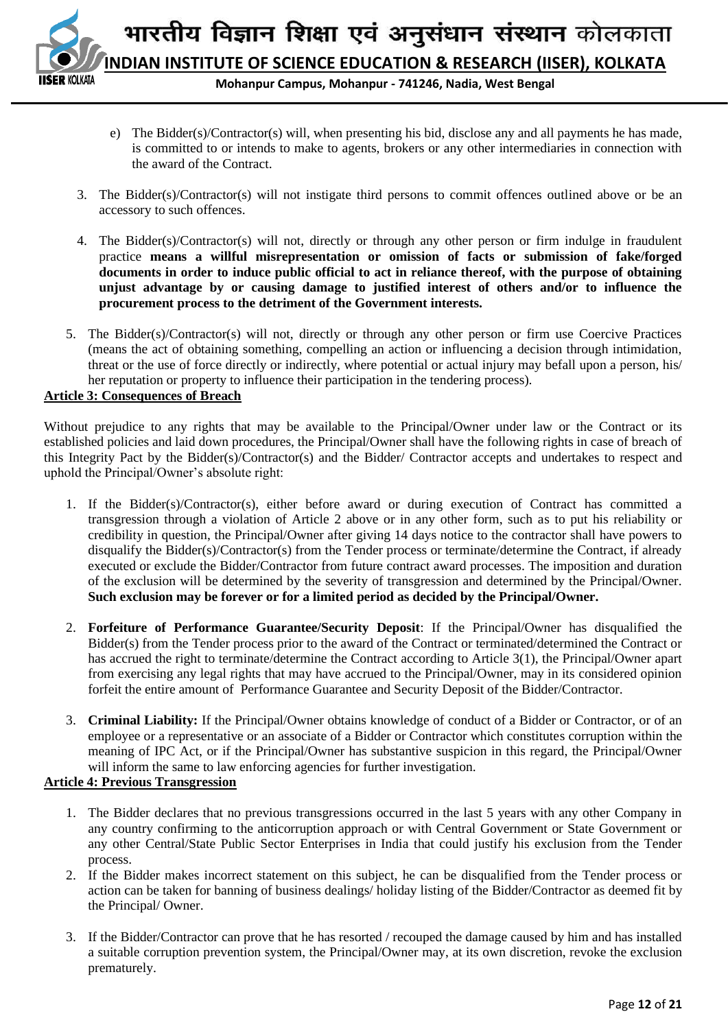

- e) The Bidder(s)/Contractor(s) will, when presenting his bid, disclose any and all payments he has made, is committed to or intends to make to agents, brokers or any other intermediaries in connection with the award of the Contract.
- 3. The Bidder(s)/Contractor(s) will not instigate third persons to commit offences outlined above or be an accessory to such offences.
- 4. The Bidder(s)/Contractor(s) will not, directly or through any other person or firm indulge in fraudulent practice **means a willful misrepresentation or omission of facts or submission of fake/forged documents in order to induce public official to act in reliance thereof, with the purpose of obtaining unjust advantage by or causing damage to justified interest of others and/or to influence the procurement process to the detriment of the Government interests.**
- 5. The Bidder(s)/Contractor(s) will not, directly or through any other person or firm use Coercive Practices (means the act of obtaining something, compelling an action or influencing a decision through intimidation, threat or the use of force directly or indirectly, where potential or actual injury may befall upon a person, his/ her reputation or property to influence their participation in the tendering process).

## **Article 3: Consequences of Breach**

Without prejudice to any rights that may be available to the Principal/Owner under law or the Contract or its established policies and laid down procedures, the Principal/Owner shall have the following rights in case of breach of this Integrity Pact by the Bidder(s)/Contractor(s) and the Bidder/ Contractor accepts and undertakes to respect and uphold the Principal/Owner's absolute right:

- 1. If the Bidder(s)/Contractor(s), either before award or during execution of Contract has committed a transgression through a violation of Article 2 above or in any other form, such as to put his reliability or credibility in question, the Principal/Owner after giving 14 days notice to the contractor shall have powers to disqualify the Bidder(s)/Contractor(s) from the Tender process or terminate/determine the Contract, if already executed or exclude the Bidder/Contractor from future contract award processes. The imposition and duration of the exclusion will be determined by the severity of transgression and determined by the Principal/Owner. **Such exclusion may be forever or for a limited period as decided by the Principal/Owner.**
- 2. **Forfeiture of Performance Guarantee/Security Deposit**: If the Principal/Owner has disqualified the Bidder(s) from the Tender process prior to the award of the Contract or terminated/determined the Contract or has accrued the right to terminate/determine the Contract according to Article 3(1), the Principal/Owner apart from exercising any legal rights that may have accrued to the Principal/Owner, may in its considered opinion forfeit the entire amount of Performance Guarantee and Security Deposit of the Bidder/Contractor.
- 3. **Criminal Liability:** If the Principal/Owner obtains knowledge of conduct of a Bidder or Contractor, or of an employee or a representative or an associate of a Bidder or Contractor which constitutes corruption within the meaning of IPC Act, or if the Principal/Owner has substantive suspicion in this regard, the Principal/Owner will inform the same to law enforcing agencies for further investigation.

#### **Article 4: Previous Transgression**

- 1. The Bidder declares that no previous transgressions occurred in the last 5 years with any other Company in any country confirming to the anticorruption approach or with Central Government or State Government or any other Central/State Public Sector Enterprises in India that could justify his exclusion from the Tender process.
- 2. If the Bidder makes incorrect statement on this subject, he can be disqualified from the Tender process or action can be taken for banning of business dealings/ holiday listing of the Bidder/Contractor as deemed fit by the Principal/ Owner.
- 3. If the Bidder/Contractor can prove that he has resorted / recouped the damage caused by him and has installed a suitable corruption prevention system, the Principal/Owner may, at its own discretion, revoke the exclusion prematurely.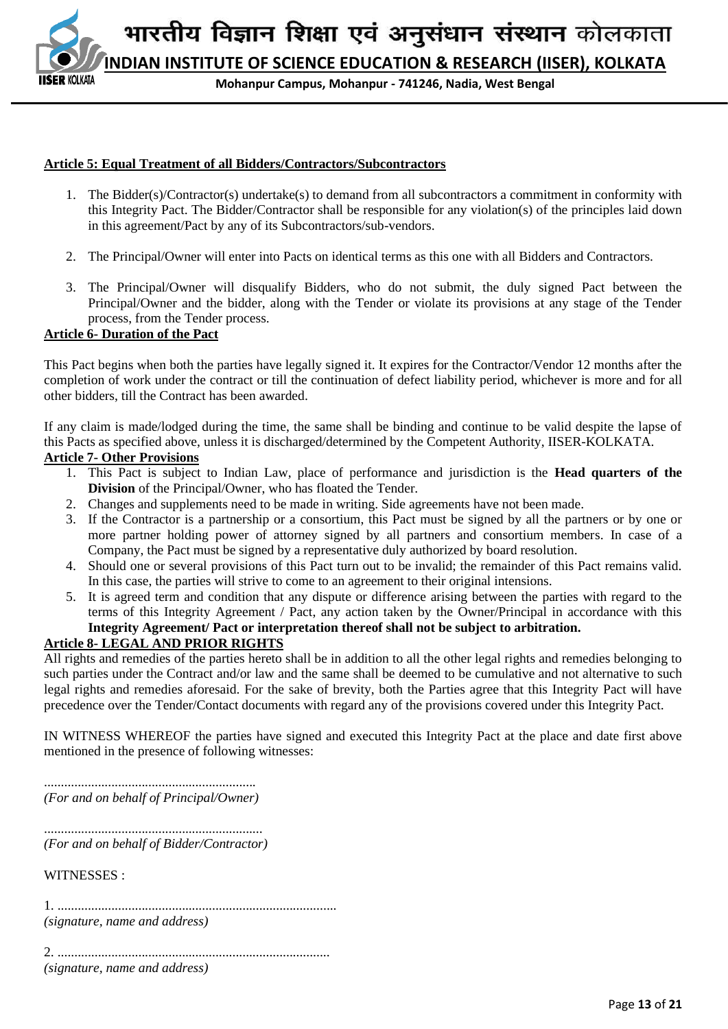**INDIAN INSTITUTE OF SCIENCE EDUCATION & RESEARCH (IISER), KOLKATA**

**Mohanpur Campus, Mohanpur - 741246, Nadia, West Bengal**

#### **Article 5: Equal Treatment of all Bidders/Contractors/Subcontractors**

- 1. The Bidder(s)/Contractor(s) undertake(s) to demand from all subcontractors a commitment in conformity with this Integrity Pact. The Bidder/Contractor shall be responsible for any violation(s) of the principles laid down in this agreement/Pact by any of its Subcontractors/sub-vendors.
- 2. The Principal/Owner will enter into Pacts on identical terms as this one with all Bidders and Contractors.
- 3. The Principal/Owner will disqualify Bidders, who do not submit, the duly signed Pact between the Principal/Owner and the bidder, along with the Tender or violate its provisions at any stage of the Tender process, from the Tender process.

#### **Article 6- Duration of the Pact**

KOI KATA

This Pact begins when both the parties have legally signed it. It expires for the Contractor/Vendor 12 months after the completion of work under the contract or till the continuation of defect liability period, whichever is more and for all other bidders, till the Contract has been awarded.

If any claim is made/lodged during the time, the same shall be binding and continue to be valid despite the lapse of this Pacts as specified above, unless it is discharged/determined by the Competent Authority, IISER-KOLKATA.

#### **Article 7- Other Provisions**

- 1. This Pact is subject to Indian Law, place of performance and jurisdiction is the **Head quarters of the Division** of the Principal/Owner, who has floated the Tender.
- 2. Changes and supplements need to be made in writing. Side agreements have not been made.
- 3. If the Contractor is a partnership or a consortium, this Pact must be signed by all the partners or by one or more partner holding power of attorney signed by all partners and consortium members. In case of a Company, the Pact must be signed by a representative duly authorized by board resolution.
- 4. Should one or several provisions of this Pact turn out to be invalid; the remainder of this Pact remains valid. In this case, the parties will strive to come to an agreement to their original intensions.
- 5. It is agreed term and condition that any dispute or difference arising between the parties with regard to the terms of this Integrity Agreement / Pact, any action taken by the Owner/Principal in accordance with this **Integrity Agreement/ Pact or interpretation thereof shall not be subject to arbitration.**

## **Article 8- LEGAL AND PRIOR RIGHTS**

All rights and remedies of the parties hereto shall be in addition to all the other legal rights and remedies belonging to such parties under the Contract and/or law and the same shall be deemed to be cumulative and not alternative to such legal rights and remedies aforesaid. For the sake of brevity, both the Parties agree that this Integrity Pact will have precedence over the Tender/Contact documents with regard any of the provisions covered under this Integrity Pact.

IN WITNESS WHEREOF the parties have signed and executed this Integrity Pact at the place and date first above mentioned in the presence of following witnesses:

............................................................... *(For and on behalf of Principal/Owner)*

................................................................. *(For and on behalf of Bidder/Contractor)*

WITNESSES :

1. ................................................................................... *(signature, name and address)*

2. ................................................................................. *(signature, name and address)*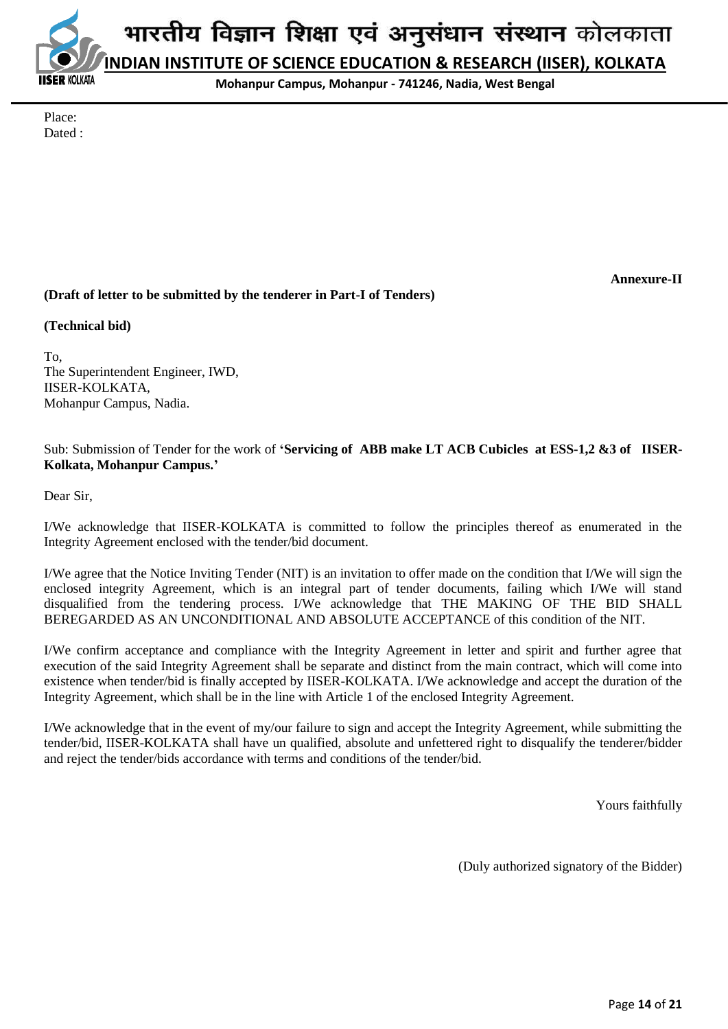**INDIAN INSTITUTE OF SCIENCE EDUCATION & RESEARCH (IISER), KOLKATA**

**Mohanpur Campus, Mohanpur - 741246, Nadia, West Bengal**

Place: Dated :

**OI KATA** 

**Annexure-II**

## **(Draft of letter to be submitted by the tenderer in Part-I of Tenders)**

#### **(Technical bid)**

To, The Superintendent Engineer, IWD, IISER-KOLKATA, Mohanpur Campus, Nadia.

Sub: Submission of Tender for the work of **'Servicing of ABB make LT ACB Cubicles at ESS-1,2 &3 of IISER-Kolkata, Mohanpur Campus.'**

Dear Sir,

I/We acknowledge that IISER-KOLKATA is committed to follow the principles thereof as enumerated in the Integrity Agreement enclosed with the tender/bid document.

I/We agree that the Notice Inviting Tender (NIT) is an invitation to offer made on the condition that I/We will sign the enclosed integrity Agreement, which is an integral part of tender documents, failing which I/We will stand disqualified from the tendering process. I/We acknowledge that THE MAKING OF THE BID SHALL BEREGARDED AS AN UNCONDITIONAL AND ABSOLUTE ACCEPTANCE of this condition of the NIT.

I/We confirm acceptance and compliance with the Integrity Agreement in letter and spirit and further agree that execution of the said Integrity Agreement shall be separate and distinct from the main contract, which will come into existence when tender/bid is finally accepted by IISER-KOLKATA. I/We acknowledge and accept the duration of the Integrity Agreement, which shall be in the line with Article 1 of the enclosed Integrity Agreement.

I/We acknowledge that in the event of my/our failure to sign and accept the Integrity Agreement, while submitting the tender/bid, IISER-KOLKATA shall have un qualified, absolute and unfettered right to disqualify the tenderer/bidder and reject the tender/bids accordance with terms and conditions of the tender/bid.

Yours faithfully

(Duly authorized signatory of the Bidder)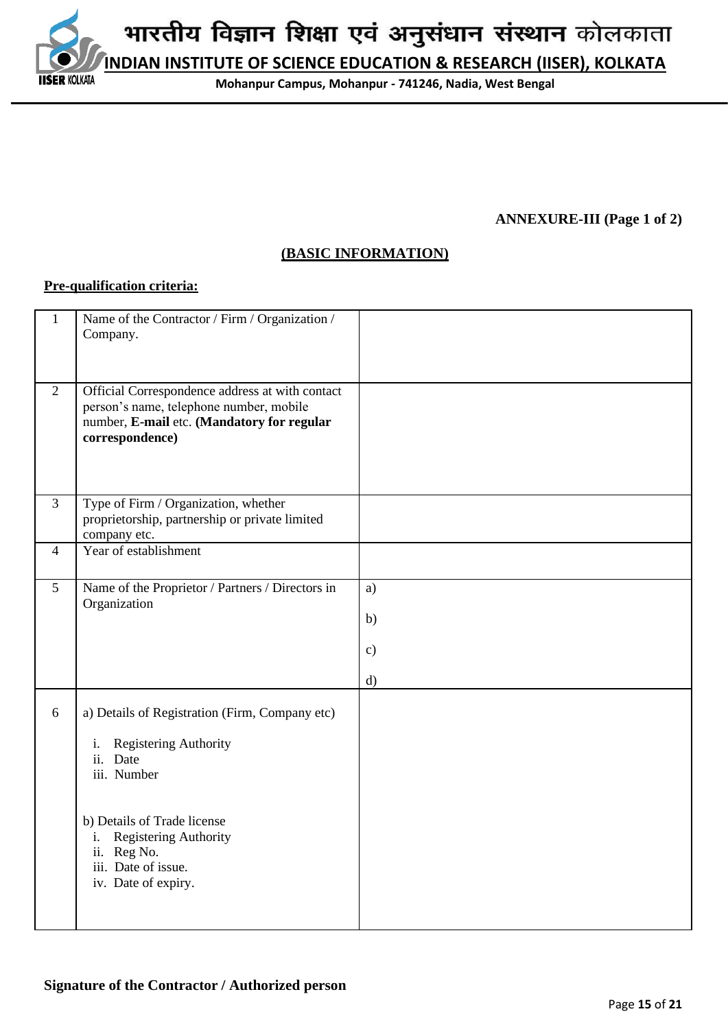**INDIAN INSTITUTE OF SCIENCE EDUCATION & RESEARCH (IISER), KOLKATA**

**Mohanpur Campus, Mohanpur - 741246, Nadia, West Bengal**

## **ANNEXURE-III (Page 1 of 2)**

## **(BASIC INFORMATION)**

#### **Pre-qualification criteria:**

**IISER KOLKATA** 

| $\mathbf{1}$   | Name of the Contractor / Firm / Organization /<br>Company.                                                                                                                                                                          |                                 |
|----------------|-------------------------------------------------------------------------------------------------------------------------------------------------------------------------------------------------------------------------------------|---------------------------------|
| $\overline{2}$ | Official Correspondence address at with contact<br>person's name, telephone number, mobile<br>number, E-mail etc. (Mandatory for regular<br>correspondence)                                                                         |                                 |
| $\overline{3}$ | Type of Firm / Organization, whether<br>proprietorship, partnership or private limited<br>company etc.                                                                                                                              |                                 |
| $\overline{4}$ | Year of establishment                                                                                                                                                                                                               |                                 |
| 5              | Name of the Proprietor / Partners / Directors in<br>Organization                                                                                                                                                                    | a)<br>b)<br>$\mathbf{c})$<br>d) |
| 6              | a) Details of Registration (Firm, Company etc)<br>Registering Authority<br>i.<br>ii. Date<br>iii. Number<br>b) Details of Trade license<br>Registering Authority<br>i.<br>ii. Reg No.<br>iii. Date of issue.<br>iv. Date of expiry. |                                 |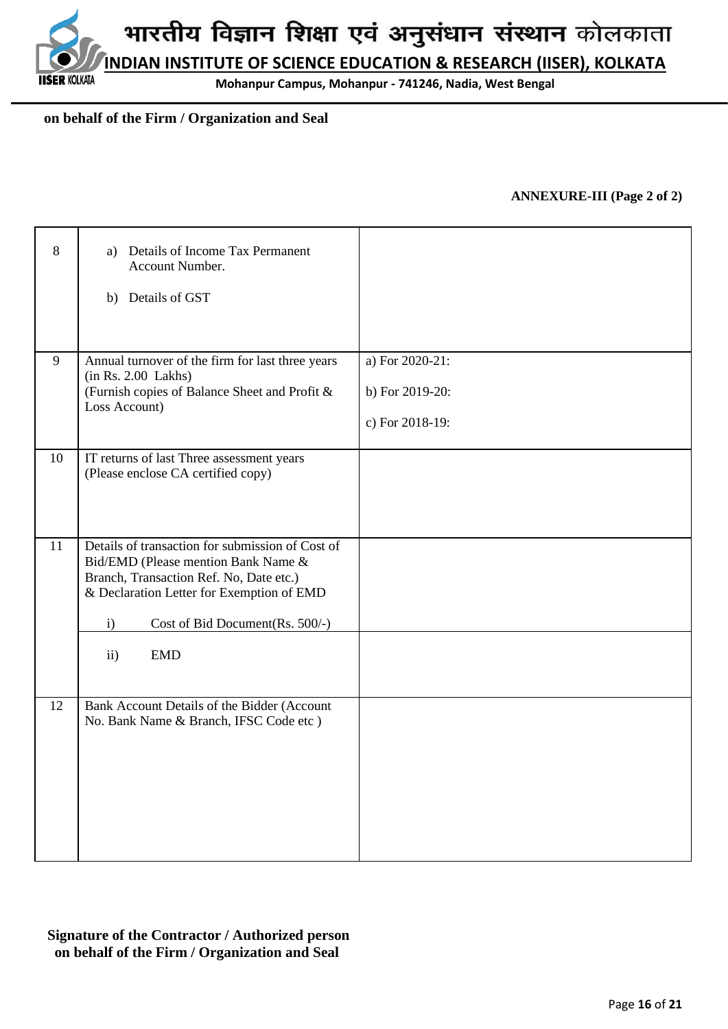**Mohanpur Campus, Mohanpur - 741246, Nadia, West Bengal**

## **on behalf of the Firm / Organization and Seal**

**IISER KOLKATA** 

#### **ANNEXURE-III (Page 2 of 2)**

| 8  | a) Details of Income Tax Permanent<br>Account Number.<br>b) Details of GST                                                                                                                                                                              |                                                       |
|----|---------------------------------------------------------------------------------------------------------------------------------------------------------------------------------------------------------------------------------------------------------|-------------------------------------------------------|
| 9  | Annual turnover of the firm for last three years<br>(in Rs. 2.00 Lakhs)<br>(Furnish copies of Balance Sheet and Profit &<br>Loss Account)                                                                                                               | a) For 2020-21:<br>b) For 2019-20:<br>c) For 2018-19: |
| 10 | IT returns of last Three assessment years<br>(Please enclose CA certified copy)                                                                                                                                                                         |                                                       |
| 11 | Details of transaction for submission of Cost of<br>Bid/EMD (Please mention Bank Name &<br>Branch, Transaction Ref. No, Date etc.)<br>& Declaration Letter for Exemption of EMD<br>i)<br>Cost of Bid Document(Rs. 500/-)<br><b>EMD</b><br>$\mathbf{ii}$ |                                                       |
|    |                                                                                                                                                                                                                                                         |                                                       |
| 12 | Bank Account Details of the Bidder (Account<br>No. Bank Name & Branch, IFSC Code etc)                                                                                                                                                                   |                                                       |

**Signature of the Contractor / Authorized person on behalf of the Firm / Organization and Seal**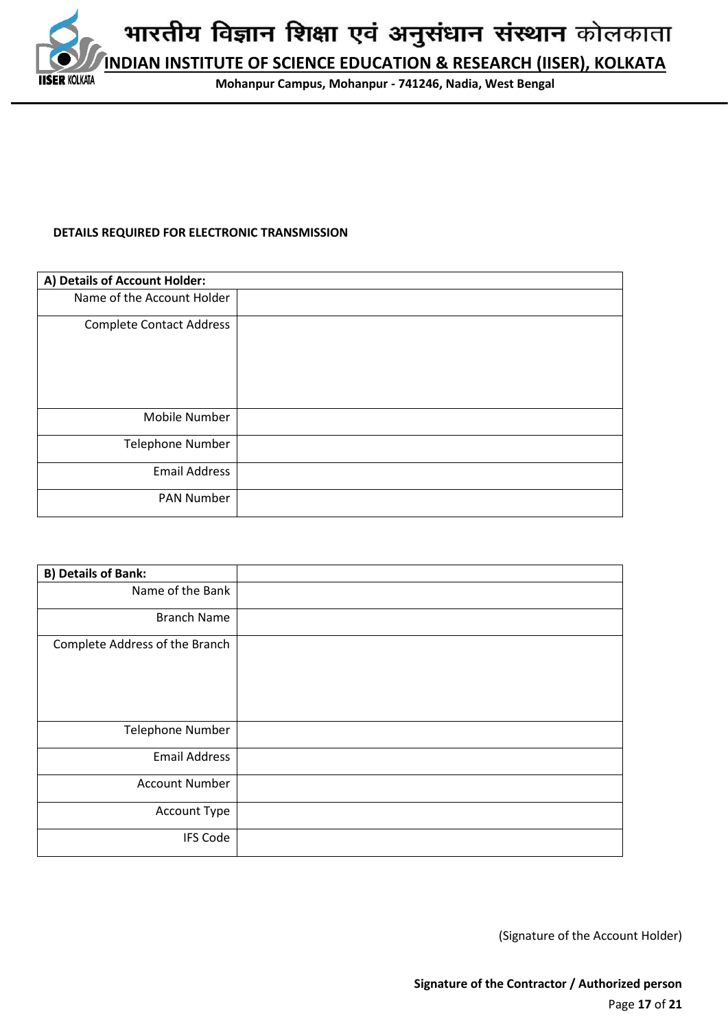

#### **DETAILS REQUIRED FOR ELECTRONIC TRANSMISSION**

| A) Details of Account Holder:   |  |
|---------------------------------|--|
| Name of the Account Holder      |  |
| <b>Complete Contact Address</b> |  |
| Mobile Number                   |  |
| <b>Telephone Number</b>         |  |
| <b>Email Address</b>            |  |
| <b>PAN Number</b>               |  |

| <b>B) Details of Bank:</b>     |  |
|--------------------------------|--|
| Name of the Bank               |  |
| <b>Branch Name</b>             |  |
| Complete Address of the Branch |  |
| <b>Telephone Number</b>        |  |
| <b>Email Address</b>           |  |
| <b>Account Number</b>          |  |
| Account Type                   |  |
| <b>IFS Code</b>                |  |

(Signature of the Account Holder)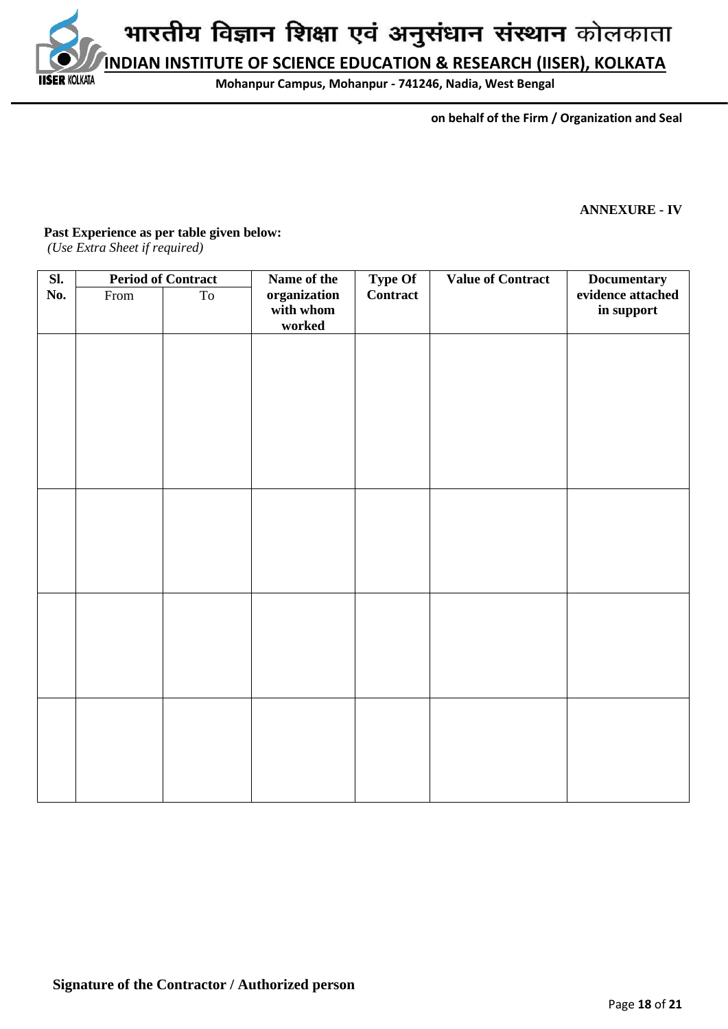**INDIAN INSTITUTE OF SCIENCE EDUCATION & RESEARCH (IISER), KOLKATA**

**Mohanpur Campus, Mohanpur - 741246, Nadia, West Bengal**

 **on behalf of the Firm / Organization and Seal**

#### **ANNEXURE - IV**

#### **Past Experience as per table given below:**

*(Use Extra Sheet if required)*

**IISER KOLKATA** 

| $\overline{\mathbf{S}$ l. | <b>Period of Contract</b> |    | Name of the<br><b>Type Of</b>       |          |  | <b>Value of Contract</b><br><b>Documentary</b> |  |
|---------------------------|---------------------------|----|-------------------------------------|----------|--|------------------------------------------------|--|
| No.                       | From                      | To | organization<br>with whom<br>worked | Contract |  | evidence attached<br>in support                |  |
|                           |                           |    |                                     |          |  |                                                |  |
|                           |                           |    |                                     |          |  |                                                |  |
|                           |                           |    |                                     |          |  |                                                |  |
|                           |                           |    |                                     |          |  |                                                |  |
|                           |                           |    |                                     |          |  |                                                |  |
|                           |                           |    |                                     |          |  |                                                |  |
|                           |                           |    |                                     |          |  |                                                |  |
|                           |                           |    |                                     |          |  |                                                |  |
|                           |                           |    |                                     |          |  |                                                |  |
|                           |                           |    |                                     |          |  |                                                |  |
|                           |                           |    |                                     |          |  |                                                |  |
|                           |                           |    |                                     |          |  |                                                |  |
|                           |                           |    |                                     |          |  |                                                |  |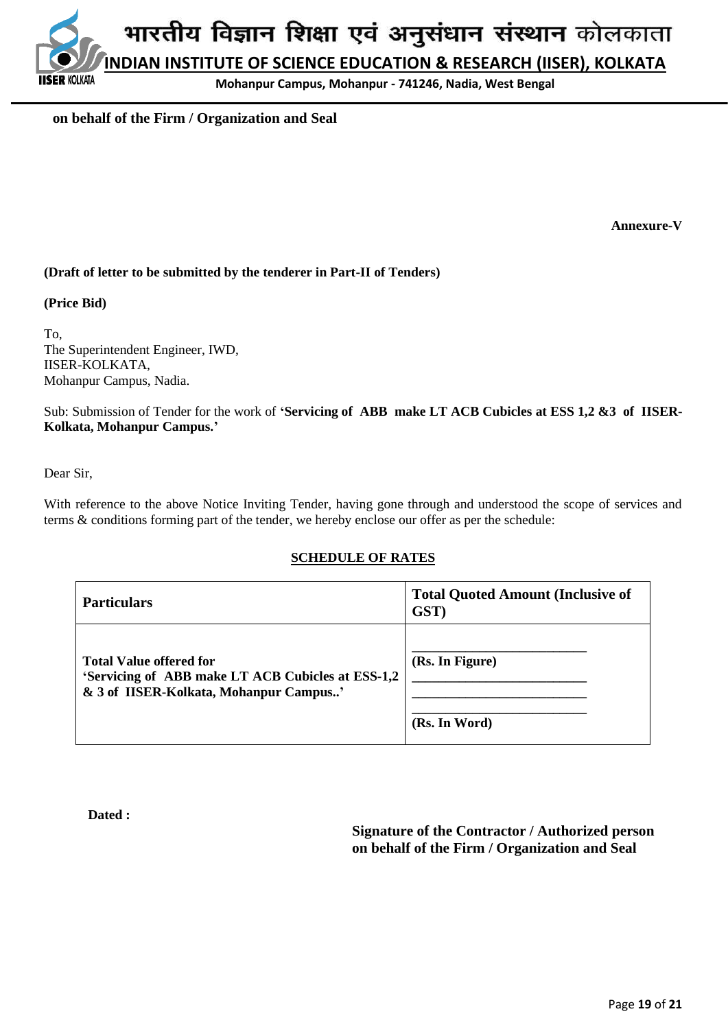**Mohanpur Campus, Mohanpur - 741246, Nadia, West Bengal**

## **on behalf of the Firm / Organization and Seal**

**Annexure-V**

## **(Draft of letter to be submitted by the tenderer in Part-II of Tenders)**

#### **(Price Bid)**

**ER KOI KATA** 

To, The Superintendent Engineer, IWD, IISER-KOLKATA, Mohanpur Campus, Nadia.

Sub: Submission of Tender for the work of **'Servicing of ABB make LT ACB Cubicles at ESS 1,2 &3 of IISER-Kolkata, Mohanpur Campus.'**

Dear Sir,

With reference to the above Notice Inviting Tender, having gone through and understood the scope of services and terms & conditions forming part of the tender, we hereby enclose our offer as per the schedule:

## **SCHEDULE OF RATES**

| <b>Particulars</b>                                                                                                            | <b>Total Quoted Amount (Inclusive of</b><br>GST) |
|-------------------------------------------------------------------------------------------------------------------------------|--------------------------------------------------|
| <b>Total Value offered for</b><br>'Servicing of ABB make LT ACB Cubicles at ESS-1,2<br>& 3 of IISER-Kolkata, Mohanpur Campus' | (Rs. In Figure)<br>(Rs. In Word)                 |

**Dated :** 

**Signature of the Contractor / Authorized person on behalf of the Firm / Organization and Seal**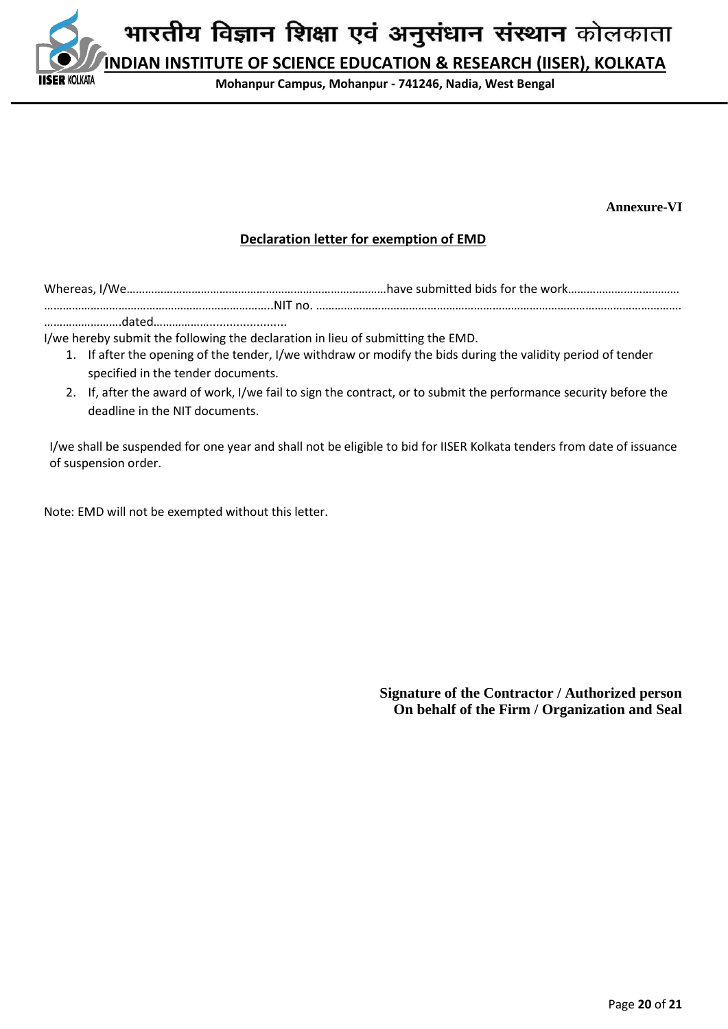

**Annexure-VI**

## **Declaration letter for exemption of EMD**

Whereas, I/We…………………………………………………………………………have submitted bids for the work……………………………… ………………………………………………………………..NIT no. ………………………………………………………………………………………………………. …………………….dated……………….......................

I/we hereby submit the following the declaration in lieu of submitting the EMD.

- 1. If after the opening of the tender, I/we withdraw or modify the bids during the validity period of tender specified in the tender documents.
- 2. If, after the award of work, I/we fail to sign the contract, or to submit the performance security before the deadline in the NIT documents.

I/we shall be suspended for one year and shall not be eligible to bid for IISER Kolkata tenders from date of issuance of suspension order.

Note: EMD will not be exempted without this letter.

**Signature of the Contractor / Authorized person On behalf of the Firm / Organization and Seal**